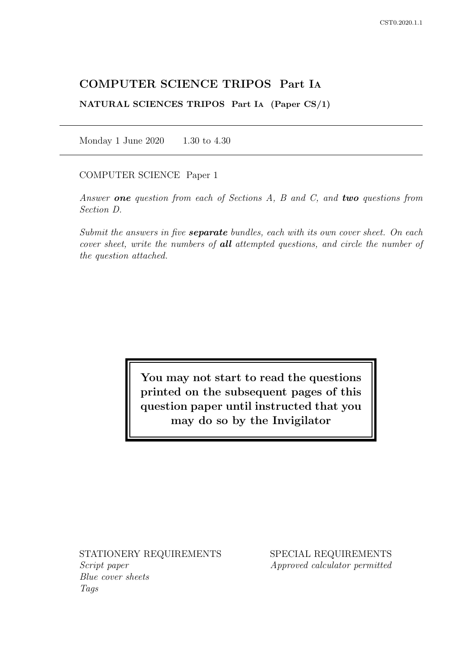# COMPUTER SCIENCE TRIPOS Part IA

NATURAL SCIENCES TRIPOS Part IA (Paper CS/1)

Monday 1 June 2020 1.30 to 4.30

## COMPUTER SCIENCE Paper 1

Answer one question from each of Sections  $A$ ,  $B$  and  $C$ , and two questions from Section D.

Submit the answers in five **separate** bundles, each with its own cover sheet. On each cover sheet, write the numbers of **all** attempted questions, and circle the number of the question attached.

> You may not start to read the questions printed on the subsequent pages of this question paper until instructed that you may do so by the Invigilator

STATIONERY REQUIREMENTS Script paper Blue cover sheets

Tags

SPECIAL REQUIREMENTS Approved calculator permitted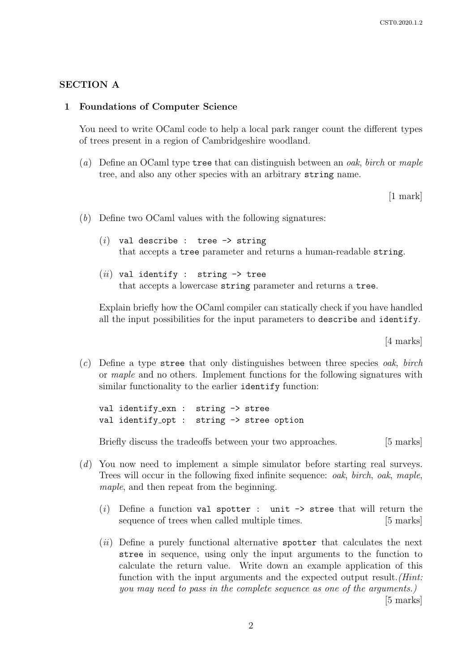## SECTION A

#### 1 Foundations of Computer Science

You need to write OCaml code to help a local park ranger count the different types of trees present in a region of Cambridgeshire woodland.

(a) Define an OCaml type tree that can distinguish between an *oak*, *birch* or *maple* tree, and also any other species with an arbitrary string name.

[1 mark]

- (b) Define two OCaml values with the following signatures:
	- $(i)$  val describe : tree  $\rightarrow$  string that accepts a tree parameter and returns a human-readable string.
	- $(ii)$  val identify : string  $\rightarrow$  tree that accepts a lowercase string parameter and returns a tree.

Explain briefly how the OCaml compiler can statically check if you have handled all the input possibilities for the input parameters to describe and identify.

[4 marks]

 $(c)$  Define a type stree that only distinguishes between three species *oak*, *birch* or maple and no others. Implement functions for the following signatures with similar functionality to the earlier identify function:

val identify\_exn : string -> stree val identify\_opt : string -> stree option

Briefly discuss the tradeoffs between your two approaches. [5 marks]

- (d) You now need to implement a simple simulator before starting real surveys. Trees will occur in the following fixed infinite sequence: oak, birch, oak, maple, maple, and then repeat from the beginning.
	- (i) Define a function val spotter : unit  $\rightarrow$  stree that will return the sequence of trees when called multiple times. [5 marks]
	- $(ii)$  Define a purely functional alternative spotter that calculates the next stree in sequence, using only the input arguments to the function to calculate the return value. Write down an example application of this function with the input arguments and the expected output result. (*Hint*: you may need to pass in the complete sequence as one of the arguments.) [5 marks]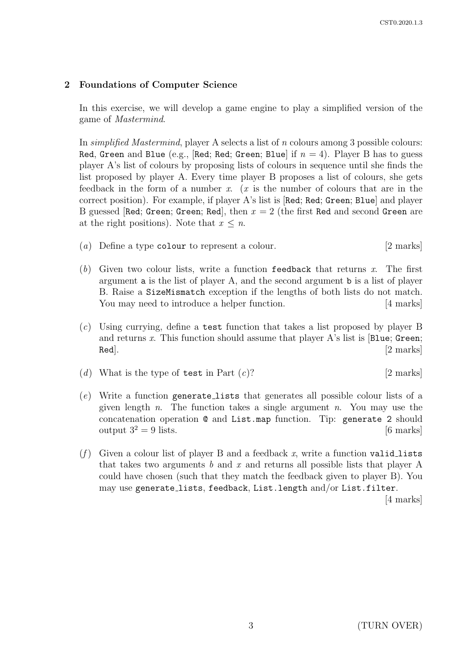## 2 Foundations of Computer Science

In this exercise, we will develop a game engine to play a simplified version of the game of Mastermind.

In simplified Mastermind, player A selects a list of n colours among 3 possible colours: Red, Green and Blue (e.g., [Red; Red; Green; Blue] if  $n = 4$ ). Player B has to guess player A's list of colours by proposing lists of colours in sequence until she finds the list proposed by player A. Every time player B proposes a list of colours, she gets feedback in the form of a number x.  $(x$  is the number of colours that are in the correct position). For example, if player A's list is [Red; Red; Green; Blue] and player B guessed [Red; Green; Green; Red], then  $x = 2$  (the first Red and second Green are at the right positions). Note that  $x \leq n$ .

- (a) Define a type colour to represent a colour. [2 marks]
- (b) Given two colour lists, write a function feedback that returns x. The first argument a is the list of player A, and the second argument b is a list of player B. Raise a SizeMismatch exception if the lengths of both lists do not match. You may need to introduce a helper function. [4 marks]
- (c) Using currying, define a test function that takes a list proposed by player B and returns x. This function should assume that player  $A$ 's list is [Blue; Green;  $\pmb{\quad \text{Red} }. \tag{2 marks}$
- (d) What is the type of test in Part  $(c)$ ? [2 marks]
- (e) Write a function generate lists that generates all possible colour lists of a given length n. The function takes a single argument n. You may use the concatenation operation @ and List.map function. Tip: generate 2 should output  $3^2 = 9$  lists. [6 marks]
- (f) Given a colour list of player B and a feedback x, write a function valid lists that takes two arguments b and x and returns all possible lists that player A could have chosen (such that they match the feedback given to player B). You may use generate lists, feedback, List.length and/or List.filter.

[4 marks]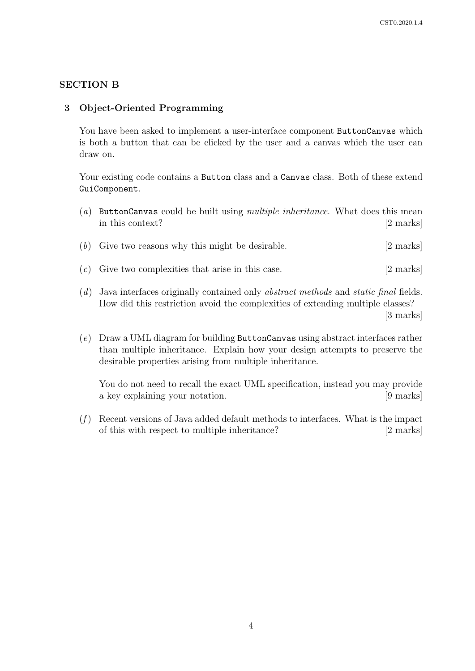## SECTION B

## 3 Object-Oriented Programming

You have been asked to implement a user-interface component ButtonCanvas which is both a button that can be clicked by the user and a canvas which the user can draw on.

Your existing code contains a Button class and a Canvas class. Both of these extend GuiComponent.

| $\left( a\right)$ | ButtonCanvas could be built using <i>multiple inheritance</i> . What does this mean<br>in this context? | [2 marks]           |
|-------------------|---------------------------------------------------------------------------------------------------------|---------------------|
|                   | $(b)$ Give two reasons why this might be desirable.                                                     | $[2 \text{ marks}]$ |
|                   | $(c)$ Give two complexities that arise in this case.                                                    | $[2 \text{ marks}]$ |

- (d) Java interfaces originally contained only abstract methods and static final fields. How did this restriction avoid the complexities of extending multiple classes? [3 marks]
- (e) Draw a UML diagram for building ButtonCanvas using abstract interfaces rather than multiple inheritance. Explain how your design attempts to preserve the desirable properties arising from multiple inheritance.

You do not need to recall the exact UML specification, instead you may provide a key explaining your notation. [9 marks]

 $(f)$  Recent versions of Java added default methods to interfaces. What is the impact of this with respect to multiple inheritance? [2 marks]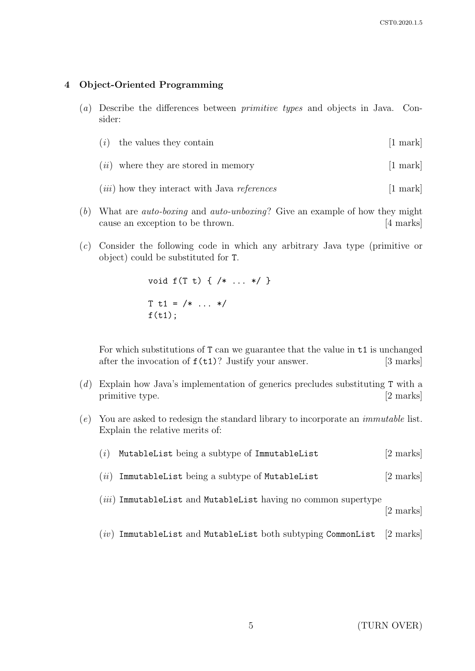## 4 Object-Oriented Programming

(a) Describe the differences between primitive types and objects in Java. Consider:

|  | $(i)$ the values they contain | [1 mark] |
|--|-------------------------------|----------|
|--|-------------------------------|----------|

- $(ii)$  where they are stored in memory [1 mark]
- $(iii)$  how they interact with Java *references* [1 mark]
- (b) What are auto-boxing and auto-unboxing? Give an example of how they might cause an exception to be thrown. [4 marks]
- (c) Consider the following code in which any arbitrary Java type (primitive or object) could be substituted for T.

void f(T t) { /\* ... \*/ }  $T t1 = \frac{\cancel{x}}{\cancel{x}} \dots \cancel{x}$  $f(t1);$ 

For which substitutions of T can we guarantee that the value in t1 is unchanged after the invocation of  $f(t1)$ ? Justify your answer. [3 marks]

- (d) Explain how Java's implementation of generics precludes substituting T with a primitive type. [2 marks]
- (e) You are asked to redesign the standard library to incorporate an immutable list. Explain the relative merits of:

| (i) | MutableList being a subtype of ImmutableList                     | $[2 \text{ marks}]$ |
|-----|------------------------------------------------------------------|---------------------|
|     | $(ii)$ ImmutableList being a subtype of MutableList              | [2 marks]           |
|     | $(iii)$ ImmutableList and MutableList having no common supertype | [2 marks]           |

 $(iv)$  ImmutableList and MutableList both subtyping CommonList [2 marks]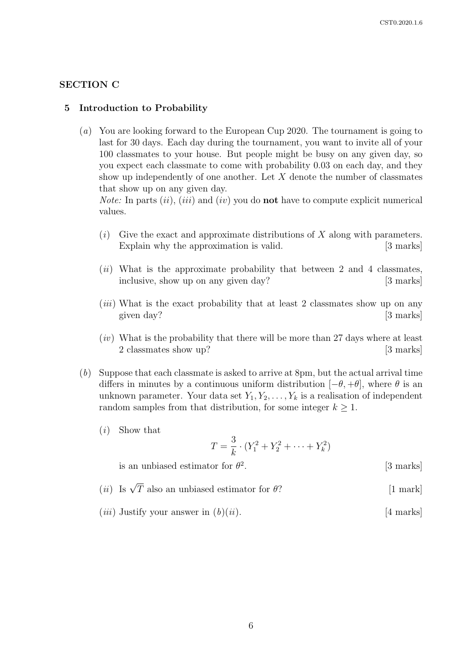[3 marks]

## SECTION C

#### 5 Introduction to Probability

(a) You are looking forward to the European Cup 2020. The tournament is going to last for 30 days. Each day during the tournament, you want to invite all of your 100 classmates to your house. But people might be busy on any given day, so you expect each classmate to come with probability 0.03 on each day, and they show up independently of one another. Let  $X$  denote the number of classmates that show up on any given day.

*Note:* In parts  $(ii)$ ,  $(iii)$  and  $(iv)$  you do **not** have to compute explicit numerical values.

- $(i)$  Give the exact and approximate distributions of X along with parameters. Explain why the approximation is valid. [3 marks]
- $(ii)$  What is the approximate probability that between 2 and 4 classmates, inclusive, show up on any given day? [3 marks]
- (*iii*) What is the exact probability that at least 2 classmates show up on any given day? [3 marks]
- $(iv)$  What is the probability that there will be more than 27 days where at least 2 classmates show up? [3 marks]
- (b) Suppose that each classmate is asked to arrive at 8pm, but the actual arrival time differs in minutes by a continuous uniform distribution  $[-\theta, +\theta]$ , where  $\theta$  is an unknown parameter. Your data set  $Y_1, Y_2, \ldots, Y_k$  is a realisation of independent random samples from that distribution, for some integer  $k \geq 1$ .
	- (i) Show that

$$
T = \frac{3}{k} \cdot (Y_1^2 + Y_2^2 + \dots + Y_k^2)
$$

is an unbiased estimator for  $\theta^2$ 

- (*ii*) Is  $\sqrt{T}$  also an unbiased estimator for  $\theta$ ? [1 mark]
- (*iii*) Justify your answer in  $(b)(ii)$ . [4 marks]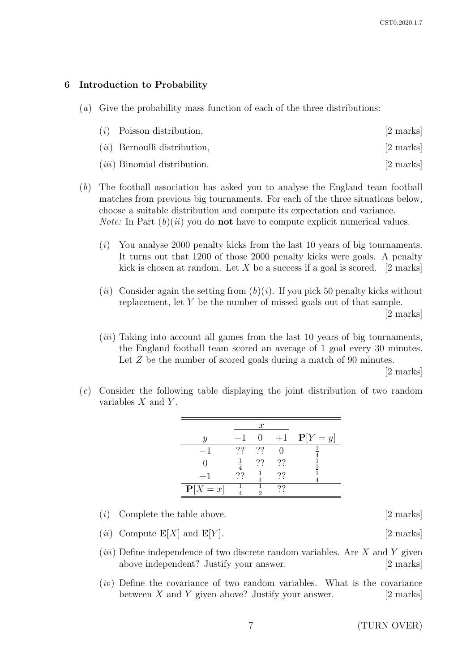## 6 Introduction to Probability

(a) Give the probability mass function of each of the three distributions:

|  | $(i)$ Poisson distribution, | [2 marks] |
|--|-----------------------------|-----------|
|--|-----------------------------|-----------|

- $(ii)$  Bernoulli distribution,  $[2 \text{ marks}]$
- $(iii)$  Binomial distribution. [2 marks]
- (b) The football association has asked you to analyse the England team football matches from previous big tournaments. For each of the three situations below, choose a suitable distribution and compute its expectation and variance. *Note:* In Part  $(b)(ii)$  you do **not** have to compute explicit numerical values.
	- (i) You analyse 2000 penalty kicks from the last 10 years of big tournaments. It turns out that 1200 of those 2000 penalty kicks were goals. A penalty kick is chosen at random. Let X be a success if a goal is scored.  $\lbrack 2 \rbrack$  marks
	- (ii) Consider again the setting from  $(b)(i)$ . If you pick 50 penalty kicks without replacement, let Y be the number of missed goals out of that sample. [2 marks]
	- (iii) Taking into account all games from the last 10 years of big tournaments, the England football team scored an average of 1 goal every 30 minutes. Let Z be the number of scored goals during a match of 90 minutes.

[2 marks]

(c) Consider the following table displaying the joint distribution of two random variables  $X$  and  $Y$ .

|                |    | $\mathcal{X}$ |      |                |
|----------------|----|---------------|------|----------------|
| U              |    |               | $+1$ | ${\bf P}[Y=y]$ |
|                | 77 | ??            |      |                |
|                |    | ??            | ??   | Q              |
| $+1$           | ?? |               | ??   |                |
| ${\bf P}[X=x]$ |    |               | 22   |                |

- (*i*) Complete the table above.  $[2 \text{ marks}]$
- (*ii*) Compute  $\mathbf{E}[X]$  and  $\mathbf{E}[Y]$ . [2 marks]
- (*iii*) Define independence of two discrete random variables. Are  $X$  and  $Y$  given above independent? Justify your answer. [2 marks]
- $(iv)$  Define the covariance of two random variables. What is the covariance between  $X$  and  $Y$  given above? Justify your answer. [2 marks]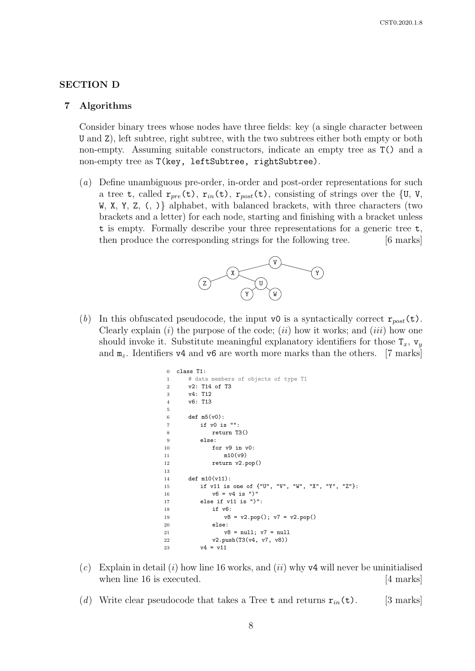### SECTION D

#### 7 Algorithms

Consider binary trees whose nodes have three fields: key (a single character between U and Z), left subtree, right subtree, with the two subtrees either both empty or both non-empty. Assuming suitable constructors, indicate an empty tree as T() and a non-empty tree as T(key, leftSubtree, rightSubtree).

(a) Define unambiguous pre-order, in-order and post-order representations for such a tree t, called  $r_{pre}(t)$ ,  $r_{in}(t)$ ,  $r_{post}(t)$ , consisting of strings over the {U, V, W, X, Y, Z, (, )} alphabet, with balanced brackets, with three characters (two brackets and a letter) for each node, starting and finishing with a bracket unless t is empty. Formally describe your three representations for a generic tree t, then produce the corresponding strings for the following tree. [6 marks]



(b) In this obfuscated pseudocode, the input v0 is a syntactically correct  $r_{post}(\tau)$ . Clearly explain  $(i)$  the purpose of the code;  $(ii)$  how it works; and  $(iii)$  how one should invoke it. Substitute meaningful explanatory identifiers for those  $T_x$ ,  $v_y$ and  $m_z$ . Identifiers v4 and v6 are worth more marks than the others. [7 marks]

```
0 class T1:
1 # data members of objects of type T1
2 v2: T14 of T3
3 v4: T12
4 v6: T13
5
6 def m5(v(0))7 if v0 is "":
8 return T3()
9 else:
10 for v9 in v0:
11 m10(v9)
12 return v2.pop()
13
14 def m10(v11):
15 if v11 is one of {"U", "V", "W", "X", "Y", "Z"}:
16 v6 = v4 is ")"
17 else if v11 is ")":
18 if v6:
19 v8 = v2.pop(); v7 = v2.pop()
20 else:
21 v8 = null; v7 = null22 v2.push(T3(v4, v7, v8))
23 v4 = v11
```
- (c) Explain in detail (i) how line 16 works, and (ii) why v4 will never be uninitialised when line 16 is executed. [4 marks]
- (d) Write clear pseudocode that takes a Tree t and returns  $r_{in}(\tau)$ . [3 marks]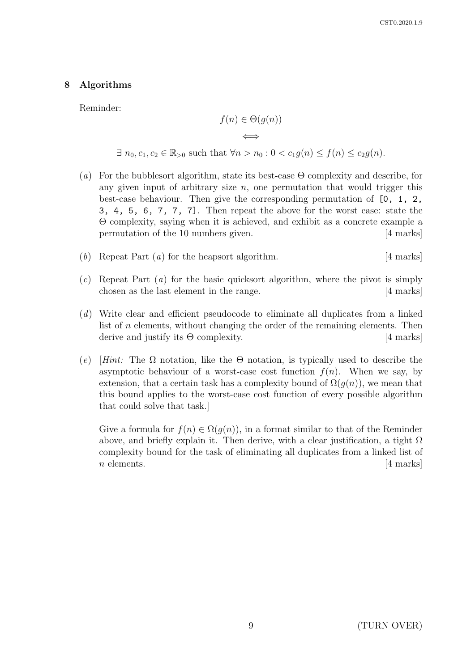## 8 Algorithms

Reminder:

$$
f(n) \in \Theta(g(n))
$$

⇐⇒

 $\exists n_0, c_1, c_2 \in \mathbb{R}_{>0}$  such that  $\forall n > n_0 : 0 < c_1 g(n) \le f(n) \le c_2 g(n)$ .

- (a) For the bubblesort algorithm, state its best-case  $\Theta$  complexity and describe, for any given input of arbitrary size  $n$ , one permutation that would trigger this best-case behaviour. Then give the corresponding permutation of [0, 1, 2, 3, 4, 5, 6, 7, 7, 7]. Then repeat the above for the worst case: state the Θ complexity, saying when it is achieved, and exhibit as a concrete example a permutation of the 10 numbers given. [4 marks]
- (b) Repeat Part  $(a)$  for the heapsort algorithm. [4 marks]
- $(c)$  Repeat Part  $(a)$  for the basic quicksort algorithm, where the pivot is simply chosen as the last element in the range. [4 marks]
- (d) Write clear and efficient pseudocode to eliminate all duplicates from a linked list of n elements, without changing the order of the remaining elements. Then derive and justify its  $\Theta$  complexity. [4 marks]
- (e) [Hint: The  $\Omega$  notation, like the  $\Theta$  notation, is typically used to describe the asymptotic behaviour of a worst-case cost function  $f(n)$ . When we say, by extension, that a certain task has a complexity bound of  $\Omega(q(n))$ , we mean that this bound applies to the worst-case cost function of every possible algorithm that could solve that task.]

Give a formula for  $f(n) \in \Omega(g(n))$ , in a format similar to that of the Reminder above, and briefly explain it. Then derive, with a clear justification, a tight  $\Omega$ complexity bound for the task of eliminating all duplicates from a linked list of  $n \text{ elements.}$  [4 marks]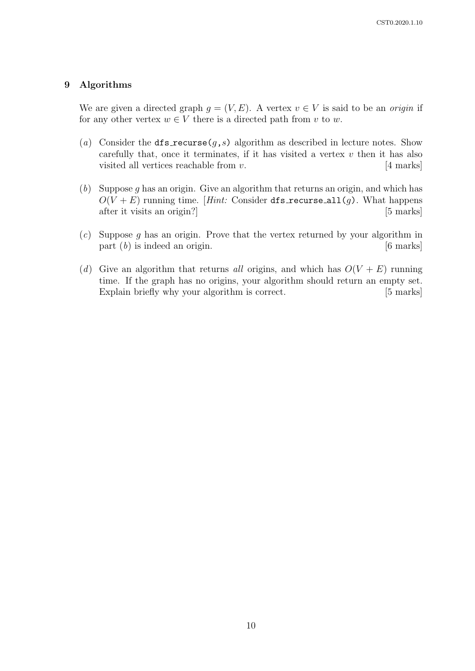## 9 Algorithms

We are given a directed graph  $g = (V, E)$ . A vertex  $v \in V$  is said to be an *origin* if for any other vertex  $w \in V$  there is a directed path from v to w.

- (a) Consider the  $dfs\_recursive(g, s)$  algorithm as described in lecture notes. Show carefully that, once it terminates, if it has visited a vertex  $v$  then it has also visited all vertices reachable from  $v$ . [4 marks]
- (b) Suppose g has an origin. Give an algorithm that returns an origin, and which has  $O(V + E)$  running time. [Hint: Consider dfs\_recurse\_all(g). What happens after it visits an origin? [5 marks]
- $(c)$  Suppose g has an origin. Prove that the vertex returned by your algorithm in part  $(b)$  is indeed an origin. [6 marks]
- (d) Give an algorithm that returns all origins, and which has  $O(V + E)$  running time. If the graph has no origins, your algorithm should return an empty set. Explain briefly why your algorithm is correct. [5 marks]